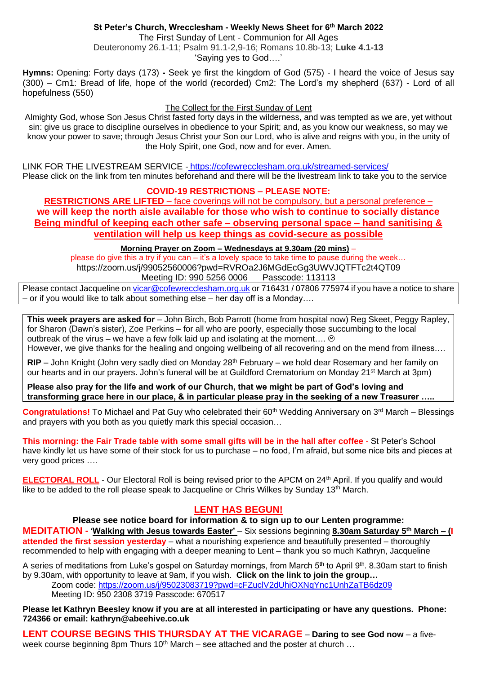# **St Peter's Church, Wrecclesham - Weekly News Sheet for 6 th March 2022**

The First Sunday of Lent - Communion for All Ages Deuteronomy 26.1-11; Psalm 91.1-2,9-16; Romans 10.8b-13; **Luke 4.1-13** 'Saying yes to God….'

**Hymns:** Opening: Forty days (173) **-** Seek ye first the kingdom of God (575) - I heard the voice of Jesus say (300) – Cm1: Bread of life, hope of the world (recorded) Cm2: The Lord's my shepherd (637) - Lord of all hopefulness (550)

#### The Collect for the First Sunday of Lent

Almighty God, whose Son Jesus Christ fasted forty days in the wilderness, and was tempted as we are, yet without sin: give us grace to discipline ourselves in obedience to your Spirit; and, as you know our weakness, so may we know your power to save; through Jesus Christ your Son our Lord, who is alive and reigns with you, in the unity of the Holy Spirit, one God, now and for ever. Amen.

LINK FOR THE LIVESTREAM SERVICE - <https://cofewrecclesham.org.uk/streamed-services/> Please click on the link from ten minutes beforehand and there will be the livestream link to take you to the service

# **COVID-19 RESTRICTIONS – PLEASE NOTE:**

**RESTRICTIONS ARE LIFTED** – face coverings will not be compulsory, but a personal preference – **we will keep the north aisle available for those who wish to continue to socially distance Being mindful of keeping each other safe – observing personal space – hand sanitising & ventilation will help us keep things as covid-secure as possible** 

# **Morning Prayer on Zoom – Wednesdays at 9.30am (20 mins)** –

please do give this a try if you can – it's a lovely space to take time to pause during the week… https://zoom.us/j/99052560006?pwd=RVROa2J6MGdEcGg3UWVJQTFTc2t4QT09 Meeting ID: 990 5256 0006 Passcode: 113113

Please contact Jacqueline on [vicar@cofewrecclesham.org.uk](mailto:vicar@cofewrecclesham.org.uk) or 716431 / 07806 775974 if you have a notice to share – or if you would like to talk about something else – her day off is a Monday….

**This week prayers are asked for** – John Birch, Bob Parrott (home from hospital now) Reg Skeet, Peggy Rapley, for Sharon (Dawn's sister), Zoe Perkins – for all who are poorly, especially those succumbing to the local outbreak of the virus – we have a few folk laid up and isolating at the moment....  $\odot$ However, we give thanks for the healing and ongoing wellbeing of all recovering and on the mend from illness….

**RIP** – John Knight (John very sadly died on Monday 28<sup>th</sup> February – we hold dear Rosemary and her family on our hearts and in our prayers. John's funeral will be at Guildford Crematorium on Monday 21<sup>st</sup> March at 3pm)

**Please also pray for the life and work of our Church, that we might be part of God's loving and transforming grace here in our place, & in particular please pray in the seeking of a new Treasurer …..**

**Congratulations!** To Michael and Pat Guy who celebrated their 60<sup>th</sup> Wedding Anniversary on 3<sup>rd</sup> March – Blessings and prayers with you both as you quietly mark this special occasion…

**This morning: the Fair Trade table with some small gifts will be in the hall after coffee** - St Peter's School have kindly let us have some of their stock for us to purchase – no food, I'm afraid, but some nice bits and pieces at very good prices ….

**ELECTORAL ROLL** - Our Electoral Roll is being revised prior to the APCM on 24<sup>th</sup> April. If you qualify and would like to be added to the roll please speak to Jacqueline or Chris Wilkes by Sunday 13<sup>th</sup> March.

# **LENT HAS BEGUN!**

**Please see notice board for information & to sign up to our Lenten programme:**

**MEDITATION -** '**Walking with Jesus towards Easter'** – Six sessions beginning **8.30am Saturday 5th March – (I attended the first session yesterday** – what a nourishing experience and beautifully presented – thoroughly recommended to help with engaging with a deeper meaning to Lent – thank you so much Kathryn, Jacqueline

A series of meditations from Luke's gospel on Saturday mornings, from March 5<sup>th</sup> to April 9<sup>th</sup>. 8.30am start to finish by 9.30am, with opportunity to leave at 9am, if you wish. **Click on the link to join the group…**

Zoom code:<https://zoom.us/j/95023083719?pwd=cFZuclV2dUhiOXNqYnc1UnhZaTB6dz09> Meeting ID: 950 2308 3719 Passcode: 670517

**Please let Kathryn Beesley know if you are at all interested in participating or have any questions. Phone: 724366 or email: kathryn@abeehive.co.uk**

**LENT COURSE BEGINS THIS THURSDAY AT THE VICARAGE** – **Daring to see God now** – a fiveweek course beginning 8pm Thurs 10<sup>th</sup> March – see attached and the poster at church  $\ldots$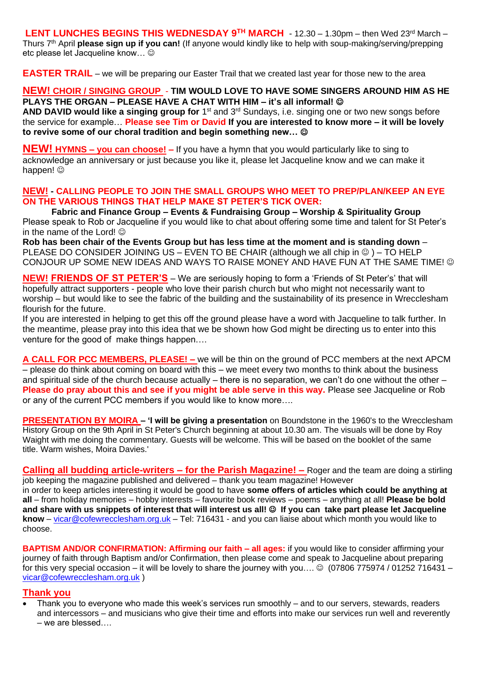**LENT LUNCHES BEGINS THIS WEDNESDAY 9TH MARCH** - 12.30 – 1.30pm – then Wed 23rd March – Thurs 7<sup>th</sup> April **please sign up if you can!** (If anyone would kindly like to help with soup-making/serving/prepping etc please let Jacqueline know...  $\odot$ 

**EASTER TRAIL** – we will be preparing our Easter Trail that we created last year for those new to the area

# **NEW! CHOIR / SINGING GROUP** - **TIM WOULD LOVE TO HAVE SOME SINGERS AROUND HIM AS HE PLAYS THE ORGAN – PLEASE HAVE A CHAT WITH HIM – it's all informal!** ☺

AND DAVID would like a singing group for 1<sup>st</sup> and 3<sup>rd</sup> Sundays, i.e. singing one or two new songs before the service for example… **Please see Tim or David If you are interested to know more – it will be lovely to revive some of our choral tradition and begin something new…** ☺

**NEW! HYMNS – you can choose! –** If you have a hymn that you would particularly like to sing to acknowledge an anniversary or just because you like it, please let Jacqueline know and we can make it happen!  $\circledcirc$ 

#### **NEW! - CALLING PEOPLE TO JOIN THE SMALL GROUPS WHO MEET TO PREP/PLAN/KEEP AN EYE ON THE VARIOUS THINGS THAT HELP MAKE ST PETER'S TICK OVER:**

**Fabric and Finance Group – Events & Fundraising Group – Worship & Spirituality Group** Please speak to Rob or Jacqueline if you would like to chat about offering some time and talent for St Peter's in the name of the Lord!  $\odot$ 

**Rob has been chair of the Events Group but has less time at the moment and is standing down** – PLEASE DO CONSIDER JOINING US – EVEN TO BE CHAIR (although we all chip in  $\circledcirc$ ) – TO HELP CONJOUR UP SOME NEW IDEAS AND WAYS TO RAISE MONEY AND HAVE FUN AT THE SAME TIME! ©

**NEW! FRIENDS OF ST PETER'S** – We are seriously hoping to form a 'Friends of St Peter's' that will hopefully attract supporters - people who love their parish church but who might not necessarily want to worship – but would like to see the fabric of the building and the sustainability of its presence in Wrecclesham flourish for the future.

If you are interested in helping to get this off the ground please have a word with Jacqueline to talk further. In the meantime, please pray into this idea that we be shown how God might be directing us to enter into this venture for the good of make things happen….

**A CALL FOR PCC MEMBERS, PLEASE! –** we will be thin on the ground of PCC members at the next APCM – please do think about coming on board with this – we meet every two months to think about the business and spiritual side of the church because actually – there is no separation, we can't do one without the other – **Please do pray about this and see if you might be able serve in this way.** Please see Jacqueline or Rob or any of the current PCC members if you would like to know more….

**PRESENTATION BY MOIRA – 'I will be giving a presentation** on Boundstone in the 1960's to the Wrecclesham History Group on the 9th April in St Peter's Church beginning at about 10.30 am. The visuals will be done by Roy Waight with me doing the commentary. Guests will be welcome. This will be based on the booklet of the same title. Warm wishes, Moira Davies.'

**Calling all budding article-writers – for the Parish Magazine! –** Roger and the team are doing a stirling job keeping the magazine published and delivered – thank you team magazine! However in order to keep articles interesting it would be good to have **some offers of articles which could be anything at all** – from holiday memories – hobby interests – favourite book reviews – poems – anything at all! **Please be bold and share with us snippets of interest that will interest us all!** ☺ **If you can take part please let Jacqueline know** – [vicar@cofewrecclesham.org.uk](mailto:vicar@cofewrecclesham.org.uk) – Tel: 716431 - and you can liaise about which month you would like to choose.

**BAPTISM AND/OR CONFIRMATION: Affirming our faith – all ages:** if you would like to consider affirming your journey of faith through Baptism and/or Confirmation, then please come and speak to Jacqueline about preparing for this very special occasion – it will be lovely to share the journey with you....  $\odot$  (07806 775974 / 01252 716431 – [vicar@cofewrecclesham.org.uk](mailto:vicar@cofewrecclesham.org.uk) )

# **Thank you**

• Thank you to everyone who made this week's services run smoothly – and to our servers, stewards, readers and intercessors – and musicians who give their time and efforts into make our services run well and reverently – we are blessed….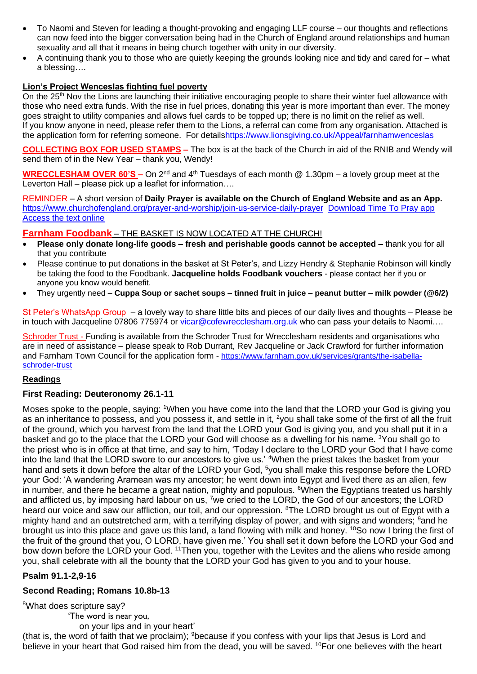- To Naomi and Steven for leading a thought-provoking and engaging LLF course our thoughts and reflections can now feed into the bigger conversation being had in the Church of England around relationships and human sexuality and all that it means in being church together with unity in our diversity.
- A continuing thank you to those who are quietly keeping the grounds looking nice and tidy and cared for what a blessing….

# **Lion's Project Wenceslas fighting fuel poverty**

On the 25<sup>th</sup> Nov the Lions are launching their initiative encouraging people to share their winter fuel allowance with those who need extra funds. With the rise in fuel prices, donating this year is more important than ever. The money goes straight to utility companies and allows fuel cards to be topped up; there is no limit on the relief as well. If you know anyone in need, please refer them to the Lions, a referral can come from any organisation. Attached is the application form for referring someone. For detail[shttps://www.lionsgiving.co.uk/Appeal/farnhamwenceslas](https://www.lionsgiving.co.uk/Appeal/farnhamwenceslas)

**COLLECTING BOX FOR USED STAMPS –** The box is at the back of the Church in aid of the RNIB and Wendy will send them of in the New Year – thank you, Wendy!

**WRECCLESHAM OVER 60'S –** On 2<sup>nd</sup> and 4<sup>th</sup> Tuesdays of each month @ 1.30pm – a lovely group meet at the Leverton Hall – please pick up a leaflet for information….

REMINDER – A short version of **Daily Prayer is available on the Church of England Website and as an App.** <https://www.churchofengland.org/prayer-and-worship/join-us-service-daily-prayer> [Download Time To Pray app](https://www.chpublishing.co.uk/apps/time-to-pray)  [Access the text online](https://www.churchofengland.org/prayer-and-worship/join-us-in-daily-prayer/prayer-during-day-contemporary-Saturday-30-January-2021)

# **Farnham Foodbank** – THE BASKET IS NOW LOCATED AT THE CHURCH!

- **Please only donate long-life goods – fresh and perishable goods cannot be accepted –** thank you for all that you contribute
- Please continue to put donations in the basket at St Peter's, and Lizzy Hendry & Stephanie Robinson will kindly be taking the food to the Foodbank. **Jacqueline holds Foodbank vouchers** - please contact her if you or anyone you know would benefit.
- They urgently need **Cuppa Soup or sachet soups – tinned fruit in juice – peanut butter – milk powder (@6/2)**

St Peter's WhatsApp Group – a lovely way to share little bits and pieces of our daily lives and thoughts – Please be in touch with Jacqueline 07806 775974 or [vicar@cofewrecclesham.org.uk](mailto:vicar@cofewrecclesham.org.uk) who can pass your details to Naomi....

Schroder Trust - Funding is available from the Schroder Trust for Wrecclesham residents and organisations who are in need of assistance – please speak to Rob Durrant, Rev Jacqueline or Jack Crawford for further information and Farnham Town Council for the application form - [https://www.farnham.gov.uk/services/grants/the-isabella](https://www.farnham.gov.uk/services/grants/the-isabella-schroder-trust)[schroder-trust](https://www.farnham.gov.uk/services/grants/the-isabella-schroder-trust)

# **Readings**

# **First Reading: Deuteronomy 26.1-11**

Moses spoke to the people, saying: <sup>1</sup>When you have come into the land that the LORD your God is giving you as an inheritance to possess, and you possess it, and settle in it, <sup>2</sup>you shall take some of the first of all the fruit of the ground, which you harvest from the land that the LORD your God is giving you, and you shall put it in a basket and go to the place that the LORD your God will choose as a dwelling for his name. <sup>3</sup>You shall go to the priest who is in office at that time, and say to him, 'Today I declare to the LORD your God that I have come into the land that the LORD swore to our ancestors to give us.' <sup>4</sup>When the priest takes the basket from your hand and sets it down before the altar of the LORD your God, <sup>5</sup>you shall make this response before the LORD your God: 'A wandering Aramean was my ancestor; he went down into Egypt and lived there as an alien, few in number, and there he became a great nation, mighty and populous. <sup>6</sup>When the Egyptians treated us harshly and afflicted us, by imposing hard labour on us, <sup>7</sup>we cried to the LORD, the God of our ancestors; the LORD heard our voice and saw our affliction, our toil, and our oppression. <sup>8</sup>The LORD brought us out of Egypt with a mighty hand and an outstretched arm, with a terrifying display of power, and with signs and wonders; <sup>9</sup>and he brought us into this place and gave us this land, a land flowing with milk and honey. <sup>10</sup>So now I bring the first of the fruit of the ground that you, O LORD, have given me.' You shall set it down before the LORD your God and bow down before the LORD your God. <sup>11</sup>Then you, together with the Levites and the aliens who reside among you, shall celebrate with all the bounty that the LORD your God has given to you and to your house.

# **Psalm 91.1-2,9-16**

# **Second Reading; Romans 10.8b-13**

<sup>8</sup>What does scripture say?

'The word is near you, on your lips and in your heart'

(that is, the word of faith that we proclaim); <sup>9</sup>because if you confess with your lips that Jesus is Lord and believe in your heart that God raised him from the dead, you will be saved. <sup>10</sup>For one believes with the heart